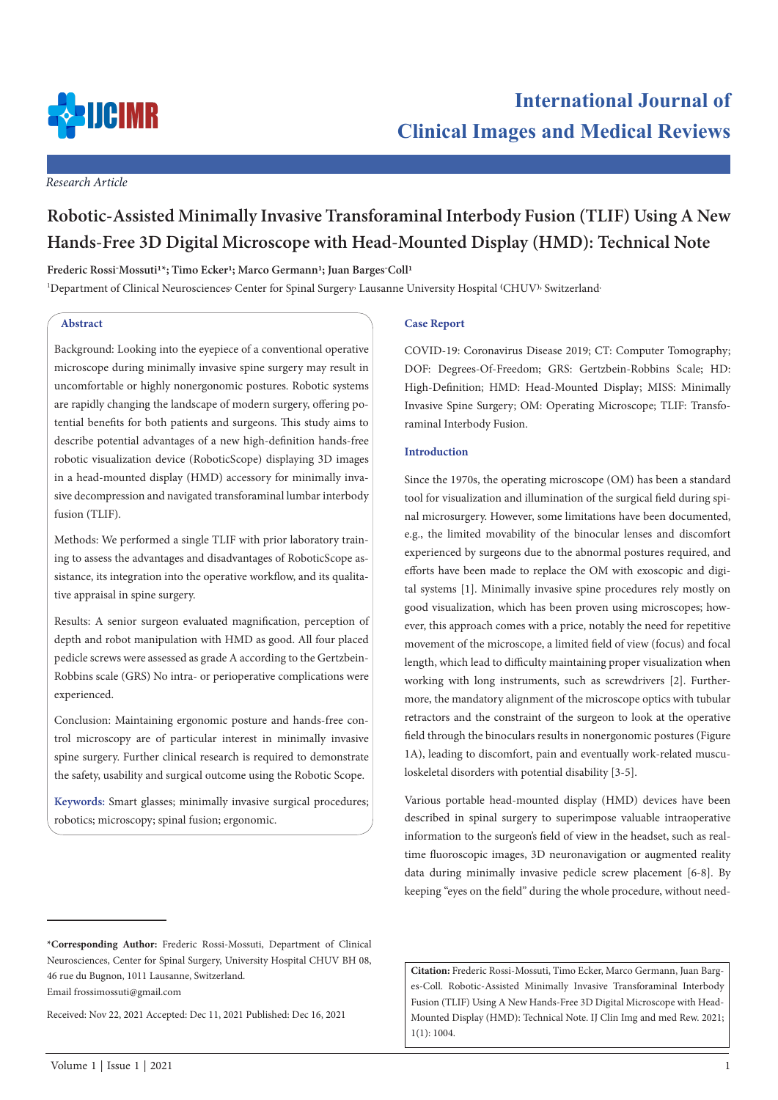

*Research Article*

# **Robotic-Assisted Minimally Invasive Transforaminal Interbody Fusion (TLIF) Using A New Hands-Free 3D Digital Microscope with Head-Mounted Display (HMD): Technical Note**

# Frederic Rossi<sup>-</sup>Mossuti<sup>1\*</sup>; Timo Ecker<sup>1</sup>; Marco Germann<sup>1</sup>; Juan Barges<sup>-</sup>Coll<sup>1</sup>

<sup>1</sup>Department of Clinical Neurosciences<sup>,</sup> Center for Spinal Surgery<sup>,</sup> Lausanne University Hospital (CHUV)<sup>,</sup> Switzerland

## **Abstract**

Background: Looking into the eyepiece of a conventional operative microscope during minimally invasive spine surgery may result in uncomfortable or highly nonergonomic postures. Robotic systems are rapidly changing the landscape of modern surgery, offering potential benefits for both patients and surgeons. This study aims to describe potential advantages of a new high-definition hands-free robotic visualization device (RoboticScope) displaying 3D images in a head-mounted display (HMD) accessory for minimally invasive decompression and navigated transforaminal lumbar interbody fusion (TLIF).

Methods: We performed a single TLIF with prior laboratory training to assess the advantages and disadvantages of RoboticScope assistance, its integration into the operative workflow, and its qualitative appraisal in spine surgery.

Results: A senior surgeon evaluated magnification, perception of depth and robot manipulation with HMD as good. All four placed pedicle screws were assessed as grade A according to the Gertzbein-Robbins scale (GRS) No intra- or perioperative complications were experienced.

Conclusion: Maintaining ergonomic posture and hands-free control microscopy are of particular interest in minimally invasive spine surgery. Further clinical research is required to demonstrate the safety, usability and surgical outcome using the Robotic Scope.

**Keywords:** Smart glasses; minimally invasive surgical procedures; robotics; microscopy; spinal fusion; ergonomic.

## **Case Report**

COVID-19: Coronavirus Disease 2019; CT: Computer Tomography; DOF: Degrees-Of-Freedom; GRS: Gertzbein-Robbins Scale; HD: High-Definition; HMD: Head-Mounted Display; MISS: Minimally Invasive Spine Surgery; OM: Operating Microscope; TLIF: Transforaminal Interbody Fusion.

# **Introduction**

Since the 1970s, the operating microscope (OM) has been a standard tool for visualization and illumination of the surgical field during spinal microsurgery. However, some limitations have been documented, e.g., the limited movability of the binocular lenses and discomfort experienced by surgeons due to the abnormal postures required, and efforts have been made to replace the OM with exoscopic and digital systems [1]. Minimally invasive spine procedures rely mostly on good visualization, which has been proven using microscopes; however, this approach comes with a price, notably the need for repetitive movement of the microscope, a limited field of view (focus) and focal length, which lead to difficulty maintaining proper visualization when working with long instruments, such as screwdrivers [2]. Furthermore, the mandatory alignment of the microscope optics with tubular retractors and the constraint of the surgeon to look at the operative field through the binoculars results in nonergonomic postures (Figure 1A), leading to discomfort, pain and eventually work-related musculoskeletal disorders with potential disability [3-5].

Various portable head-mounted display (HMD) devices have been described in spinal surgery to superimpose valuable intraoperative information to the surgeon's field of view in the headset, such as realtime fluoroscopic images, 3D neuronavigation or augmented reality data during minimally invasive pedicle screw placement [6-8]. By keeping "eyes on the field" during the whole procedure, without need-

Email frossimossuti@gmail.com

Received: Nov 22, 2021 Accepted: Dec 11, 2021 Published: Dec 16, 2021

**Citation:** Frederic Rossi-Mossuti, Timo Ecker, Marco Germann, Juan Barges-Coll. Robotic-Assisted Minimally Invasive Transforaminal Interbody Fusion (TLIF) Using A New Hands-Free 3D Digital Microscope with Head-Mounted Display (HMD): Technical Note. IJ Clin Img and med Rew. 2021; 1(1): 1004.

**<sup>\*</sup>Corresponding Author:** Frederic Rossi-Mossuti, Department of Clinical Neurosciences, Center for Spinal Surgery, University Hospital CHUV BH 08, 46 rue du Bugnon, 1011 Lausanne, Switzerland.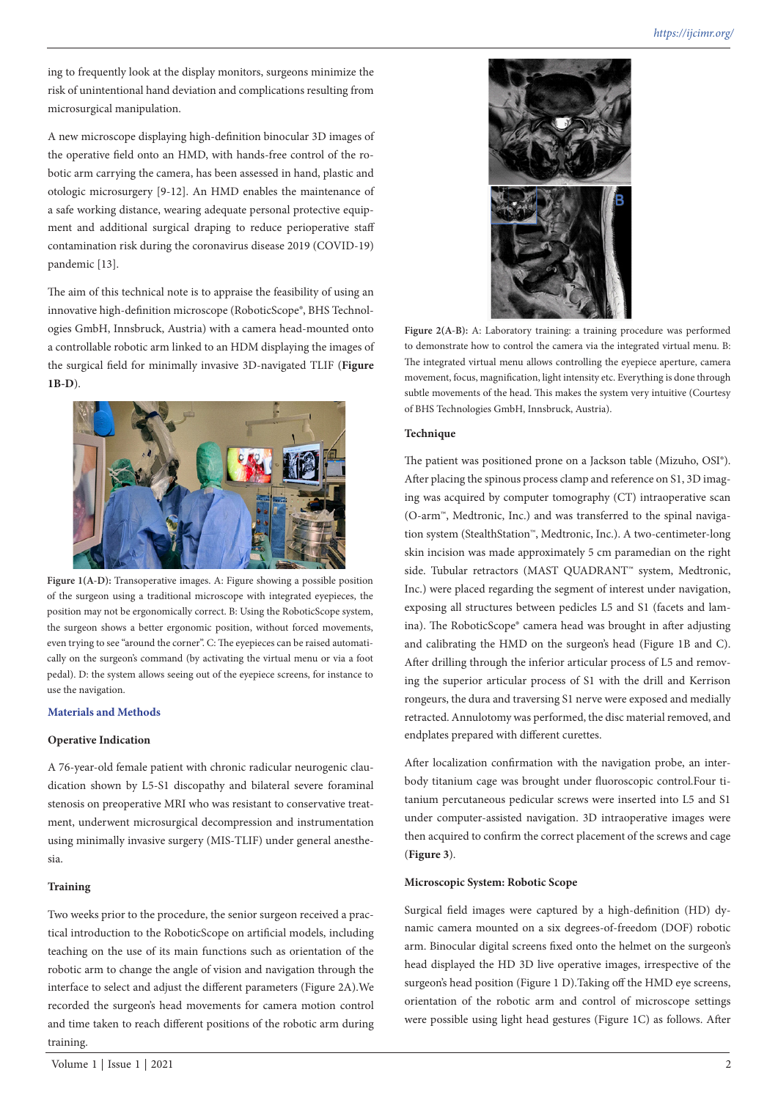ing to frequently look at the display monitors, surgeons minimize the risk of unintentional hand deviation and complications resulting from microsurgical manipulation.

A new microscope displaying high-definition binocular 3D images of the operative field onto an HMD, with hands-free control of the robotic arm carrying the camera, has been assessed in hand, plastic and otologic microsurgery [9-12]. An HMD enables the maintenance of a safe working distance, wearing adequate personal protective equipment and additional surgical draping to reduce perioperative staff contamination risk during the coronavirus disease 2019 (COVID-19) pandemic [13].

The aim of this technical note is to appraise the feasibility of using an innovative high-definition microscope (RoboticScope®, BHS Technologies GmbH, Innsbruck, Austria) with a camera head-mounted onto a controllable robotic arm linked to an HDM displaying the images of the surgical field for minimally invasive 3D-navigated TLIF (**Figure 1B-D**).



**Figure 1(A-D):** Transoperative images. A: Figure showing a possible position of the surgeon using a traditional microscope with integrated eyepieces, the position may not be ergonomically correct. B: Using the RoboticScope system, the surgeon shows a better ergonomic position, without forced movements, even trying to see "around the corner". C: The eyepieces can be raised automatically on the surgeon's command (by activating the virtual menu or via a foot pedal). D: the system allows seeing out of the eyepiece screens, for instance to use the navigation.

## **Materials and Methods**

#### **Operative Indication**

A 76-year-old female patient with chronic radicular neurogenic claudication shown by L5-S1 discopathy and bilateral severe foraminal stenosis on preoperative MRI who was resistant to conservative treatment, underwent microsurgical decompression and instrumentation using minimally invasive surgery (MIS-TLIF) under general anesthesia.

#### **Training**

Two weeks prior to the procedure, the senior surgeon received a practical introduction to the RoboticScope on artificial models, including teaching on the use of its main functions such as orientation of the robotic arm to change the angle of vision and navigation through the interface to select and adjust the different parameters (Figure 2A).We recorded the surgeon's head movements for camera motion control and time taken to reach different positions of the robotic arm during training.



Figure 2(A-B): A: Laboratory training: a training procedure was performed to demonstrate how to control the camera via the integrated virtual menu. B: The integrated virtual menu allows controlling the eyepiece aperture, camera movement, focus, magnification, light intensity etc. Everything is done through subtle movements of the head. This makes the system very intuitive (Courtesy of BHS Technologies GmbH, Innsbruck, Austria).

#### **Technique**

The patient was positioned prone on a Jackson table (Mizuho, OSI®). After placing the spinous process clamp and reference on S1, 3D imaging was acquired by computer tomography (CT) intraoperative scan (O-arm™, Medtronic, Inc.) and was transferred to the spinal navigation system (StealthStation™, Medtronic, Inc.). A two-centimeter-long skin incision was made approximately 5 cm paramedian on the right side. Tubular retractors (MAST QUADRANT™ system, Medtronic, Inc.) were placed regarding the segment of interest under navigation, exposing all structures between pedicles L5 and S1 (facets and lamina). The RoboticScope® camera head was brought in after adjusting and calibrating the HMD on the surgeon's head (Figure 1B and C). After drilling through the inferior articular process of L5 and removing the superior articular process of S1 with the drill and Kerrison rongeurs, the dura and traversing S1 nerve were exposed and medially retracted. Annulotomy was performed, the disc material removed, and endplates prepared with different curettes.

After localization confirmation with the navigation probe, an interbody titanium cage was brought under fluoroscopic control.Four titanium percutaneous pedicular screws were inserted into L5 and S1 under computer-assisted navigation. 3D intraoperative images were then acquired to confirm the correct placement of the screws and cage (**Figure 3**).

#### **Microscopic System: Robotic Scope**

Surgical field images were captured by a high-definition (HD) dynamic camera mounted on a six degrees-of-freedom (DOF) robotic arm. Binocular digital screens fixed onto the helmet on the surgeon's head displayed the HD 3D live operative images, irrespective of the surgeon's head position (Figure 1 D).Taking off the HMD eye screens, orientation of the robotic arm and control of microscope settings were possible using light head gestures (Figure 1C) as follows. After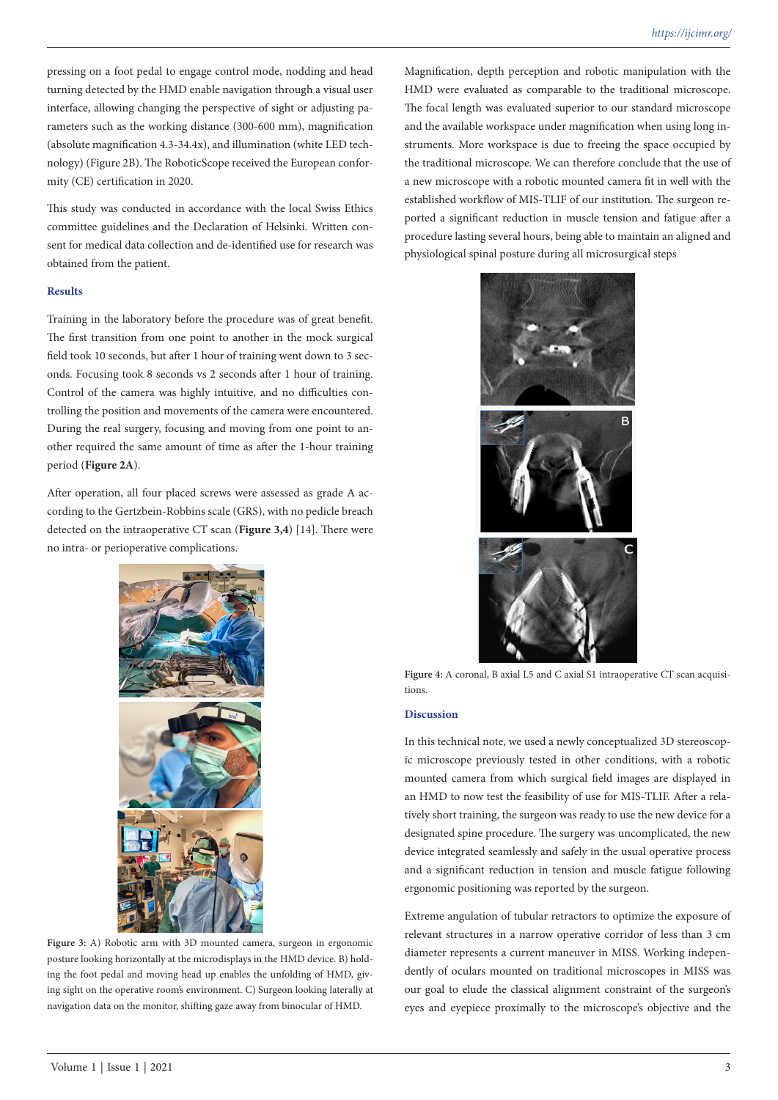pressing on a foot pedal to engage control mode, nodding and head turning detected by the HMD enable navigation through a visual user interface, allowing changing the perspective of sight or adjusting parameters such as the working distance (300-600 mm), magnification (absolute magnification 4.3-34.4x), and illumination (white LED technology) (Figure 2B). The RoboticScope received the European conformity (CE) certification in 2020.

This study was conducted in accordance with the local Swiss Ethics committee guidelines and the Declaration of Helsinki. Written consent for medical data collection and de-identified use for research was obtained from the patient.

## **Results**

Training in the laboratory before the procedure was of great benefit. The first transition from one point to another in the mock surgical field took 10 seconds, but after 1 hour of training went down to 3 seconds. Focusing took 8 seconds vs 2 seconds after 1 hour of training. Control of the camera was highly intuitive, and no difficulties controlling the position and movements of the camera were encountered. During the real surgery, focusing and moving from one point to another required the same amount of time as after the 1-hour training period (**Figure 2A**).

After operation, all four placed screws were assessed as grade A according to the Gertzbein-Robbins scale (GRS), with no pedicle breach detected on the intraoperative CT scan (**Figure 3,4**) [14]. There were no intra- or perioperative complications.



**Figure 3:** A) Robotic arm with 3D mounted camera, surgeon in ergonomic posture looking horizontally at the microdisplays in the HMD device. B) holding the foot pedal and moving head up enables the unfolding of HMD, giving sight on the operative room's environment. C) Surgeon looking laterally at navigation data on the monitor, shifting gaze away from binocular of HMD.

Magnification, depth perception and robotic manipulation with the HMD were evaluated as comparable to the traditional microscope. The focal length was evaluated superior to our standard microscope and the available workspace under magnification when using long instruments. More workspace is due to freeing the space occupied by the traditional microscope. We can therefore conclude that the use of a new microscope with a robotic mounted camera fit in well with the established workflow of MIS-TLIF of our institution. The surgeon reported a significant reduction in muscle tension and fatigue after a procedure lasting several hours, being able to maintain an aligned and physiological spinal posture during all microsurgical steps



**Figure 4:** A coronal, B axial L5 and C axial S1 intraoperative CT scan acquisitions.

#### **Discussion**

In this technical note, we used a newly conceptualized 3D stereoscopic microscope previously tested in other conditions, with a robotic mounted camera from which surgical field images are displayed in an HMD to now test the feasibility of use for MIS-TLIF. After a relatively short training, the surgeon was ready to use the new device for a designated spine procedure. The surgery was uncomplicated, the new device integrated seamlessly and safely in the usual operative process and a significant reduction in tension and muscle fatigue following ergonomic positioning was reported by the surgeon.

Extreme angulation of tubular retractors to optimize the exposure of relevant structures in a narrow operative corridor of less than 3 cm diameter represents a current maneuver in MISS. Working independently of oculars mounted on traditional microscopes in MISS was our goal to elude the classical alignment constraint of the surgeon's eyes and eyepiece proximally to the microscope's objective and the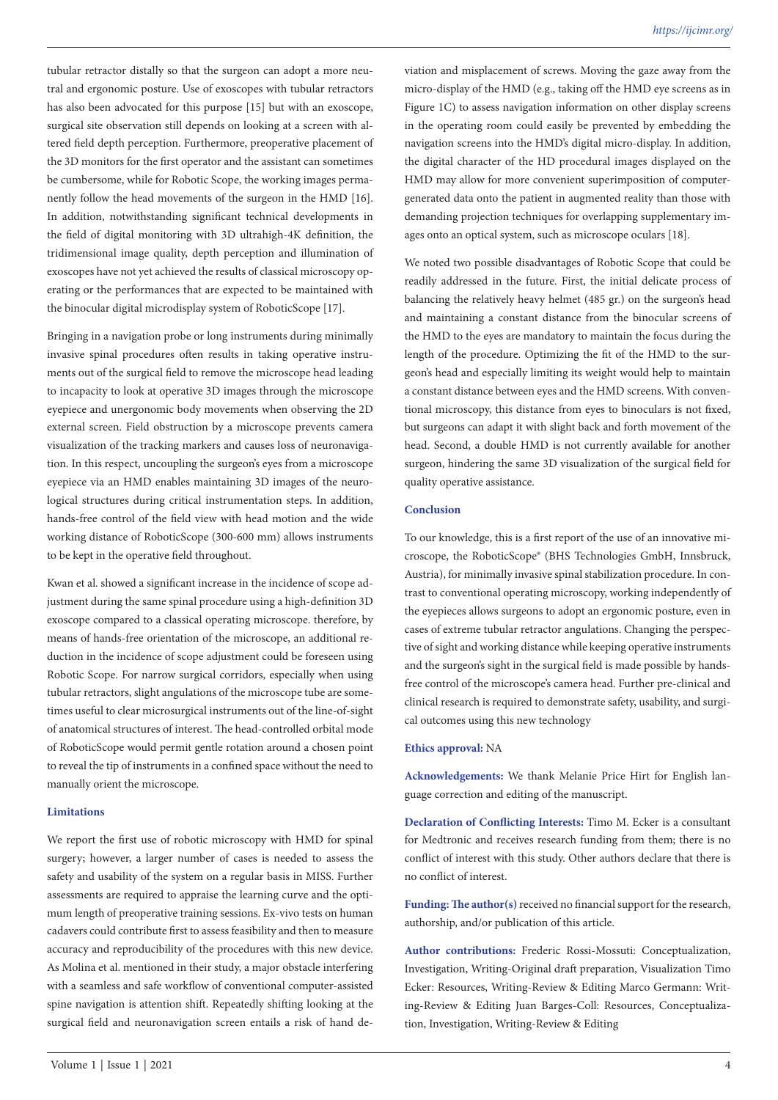tubular retractor distally so that the surgeon can adopt a more neutral and ergonomic posture. Use of exoscopes with tubular retractors has also been advocated for this purpose [15] but with an exoscope, surgical site observation still depends on looking at a screen with altered field depth perception. Furthermore, preoperative placement of the 3D monitors for the first operator and the assistant can sometimes be cumbersome, while for Robotic Scope, the working images permanently follow the head movements of the surgeon in the HMD [16]. In addition, notwithstanding significant technical developments in the field of digital monitoring with 3D ultrahigh-4K definition, the tridimensional image quality, depth perception and illumination of exoscopes have not yet achieved the results of classical microscopy operating or the performances that are expected to be maintained with the binocular digital microdisplay system of RoboticScope [17].

Bringing in a navigation probe or long instruments during minimally invasive spinal procedures often results in taking operative instruments out of the surgical field to remove the microscope head leading to incapacity to look at operative 3D images through the microscope eyepiece and unergonomic body movements when observing the 2D external screen. Field obstruction by a microscope prevents camera visualization of the tracking markers and causes loss of neuronavigation. In this respect, uncoupling the surgeon's eyes from a microscope eyepiece via an HMD enables maintaining 3D images of the neurological structures during critical instrumentation steps. In addition, hands-free control of the field view with head motion and the wide working distance of RoboticScope (300-600 mm) allows instruments to be kept in the operative field throughout.

Kwan et al. showed a significant increase in the incidence of scope adjustment during the same spinal procedure using a high-definition 3D exoscope compared to a classical operating microscope. therefore, by means of hands-free orientation of the microscope, an additional reduction in the incidence of scope adjustment could be foreseen using Robotic Scope. For narrow surgical corridors, especially when using tubular retractors, slight angulations of the microscope tube are sometimes useful to clear microsurgical instruments out of the line-of-sight of anatomical structures of interest. The head-controlled orbital mode of RoboticScope would permit gentle rotation around a chosen point to reveal the tip of instruments in a confined space without the need to manually orient the microscope.

### **Limitations**

We report the first use of robotic microscopy with HMD for spinal surgery; however, a larger number of cases is needed to assess the safety and usability of the system on a regular basis in MISS. Further assessments are required to appraise the learning curve and the optimum length of preoperative training sessions. Ex-vivo tests on human cadavers could contribute first to assess feasibility and then to measure accuracy and reproducibility of the procedures with this new device. As Molina et al. mentioned in their study, a major obstacle interfering with a seamless and safe workflow of conventional computer-assisted spine navigation is attention shift. Repeatedly shifting looking at the surgical field and neuronavigation screen entails a risk of hand deviation and misplacement of screws. Moving the gaze away from the micro-display of the HMD (e.g., taking off the HMD eye screens as in Figure 1C) to assess navigation information on other display screens in the operating room could easily be prevented by embedding the navigation screens into the HMD's digital micro-display. In addition, the digital character of the HD procedural images displayed on the HMD may allow for more convenient superimposition of computergenerated data onto the patient in augmented reality than those with demanding projection techniques for overlapping supplementary images onto an optical system, such as microscope oculars [18].

We noted two possible disadvantages of Robotic Scope that could be readily addressed in the future. First, the initial delicate process of balancing the relatively heavy helmet (485 gr.) on the surgeon's head and maintaining a constant distance from the binocular screens of the HMD to the eyes are mandatory to maintain the focus during the length of the procedure. Optimizing the fit of the HMD to the surgeon's head and especially limiting its weight would help to maintain a constant distance between eyes and the HMD screens. With conventional microscopy, this distance from eyes to binoculars is not fixed, but surgeons can adapt it with slight back and forth movement of the head. Second, a double HMD is not currently available for another surgeon, hindering the same 3D visualization of the surgical field for quality operative assistance.

## **Conclusion**

To our knowledge, this is a first report of the use of an innovative microscope, the RoboticScope® (BHS Technologies GmbH, Innsbruck, Austria), for minimally invasive spinal stabilization procedure. In contrast to conventional operating microscopy, working independently of the eyepieces allows surgeons to adopt an ergonomic posture, even in cases of extreme tubular retractor angulations. Changing the perspective of sight and working distance while keeping operative instruments and the surgeon's sight in the surgical field is made possible by handsfree control of the microscope's camera head. Further pre-clinical and clinical research is required to demonstrate safety, usability, and surgical outcomes using this new technology

## **Ethics approval:** NA

**Acknowledgements:** We thank Melanie Price Hirt for English language correction and editing of the manuscript.

**Declaration of Conflicting Interests:** Timo M. Ecker is a consultant for Medtronic and receives research funding from them; there is no conflict of interest with this study. Other authors declare that there is no conflict of interest.

**Funding: The author(s)** received no financial support for the research, authorship, and/or publication of this article.

**Author contributions:** Frederic Rossi-Mossuti: Conceptualization, Investigation, Writing-Original draft preparation, Visualization Timo Ecker: Resources, Writing-Review & Editing Marco Germann: Writing-Review & Editing Juan Barges-Coll: Resources, Conceptualization, Investigation, Writing-Review & Editing